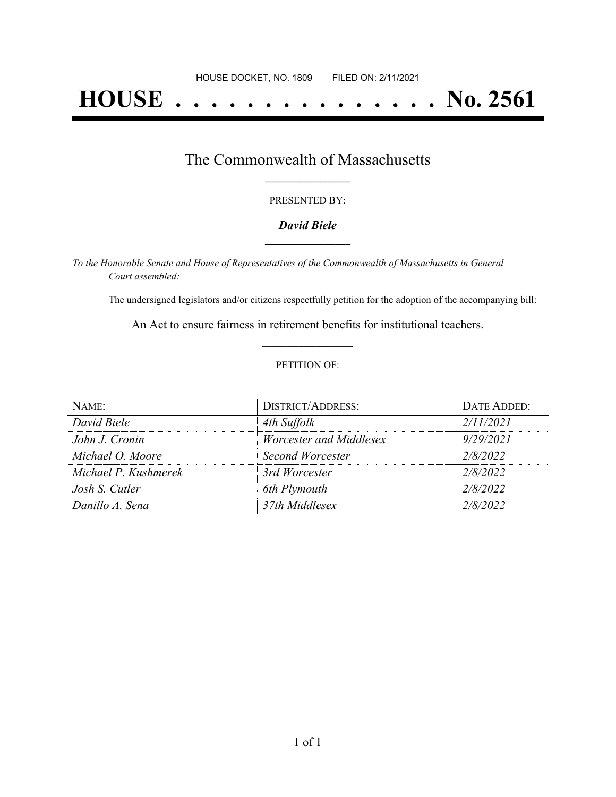# **HOUSE . . . . . . . . . . . . . . . No. 2561**

### The Commonwealth of Massachusetts **\_\_\_\_\_\_\_\_\_\_\_\_\_\_\_\_\_**

#### PRESENTED BY:

#### *David Biele* **\_\_\_\_\_\_\_\_\_\_\_\_\_\_\_\_\_**

*To the Honorable Senate and House of Representatives of the Commonwealth of Massachusetts in General Court assembled:*

The undersigned legislators and/or citizens respectfully petition for the adoption of the accompanying bill:

An Act to ensure fairness in retirement benefits for institutional teachers. **\_\_\_\_\_\_\_\_\_\_\_\_\_\_\_**

#### PETITION OF:

| $N$ AME:             | <b>DISTRICT/ADDRESS:</b> | DATE ADDED: |
|----------------------|--------------------------|-------------|
| David Biele          | 4th Suffolk              | 2/11/2021   |
| John J. Cronin       | Worcester and Middlesex  | 9/29/2021   |
| Michael O. Moore     | Second Worcester         | 2/8/2022    |
| Michael P. Kushmerek | 3rd Worcester            | 2/8/2022    |
| Josh S. Cutler       | 6th Plymouth             | 2/8/2022    |
| Danillo A. Sena      | 37th Middlesex           | 2/8/2022    |